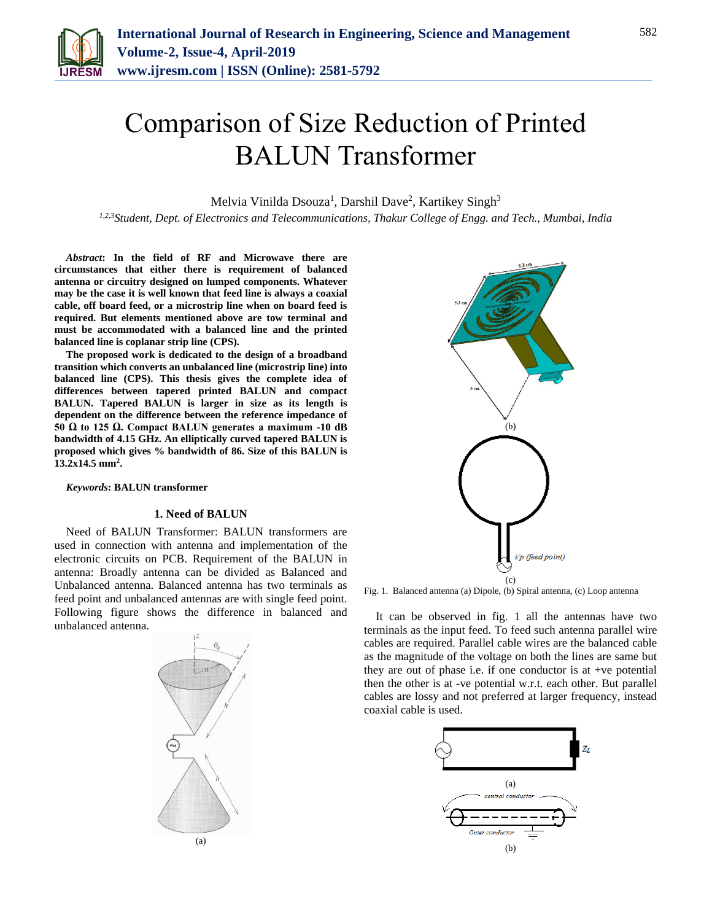

# Comparison of Size Reduction of Printed BALUN Transformer

Melvia Vinilda Dsouza<sup>1</sup>, Darshil Dave<sup>2</sup>, Kartikey Singh<sup>3</sup>

*1,2,3Student, Dept. of Electronics and Telecommunications, Thakur College of Engg. and Tech., Mumbai, India*

*Abstract***: In the field of RF and Microwave there are circumstances that either there is requirement of balanced antenna or circuitry designed on lumped components. Whatever may be the case it is well known that feed line is always a coaxial cable, off board feed, or a microstrip line when on board feed is required. But elements mentioned above are tow terminal and must be accommodated with a balanced line and the printed balanced line is coplanar strip line (CPS).**

**The proposed work is dedicated to the design of a broadband transition which converts an unbalanced line (microstrip line) into balanced line (CPS). This thesis gives the complete idea of differences between tapered printed BALUN and compact BALUN. Tapered BALUN is larger in size as its length is dependent on the difference between the reference impedance of 50 Ω to 125 Ω. Compact BALUN generates a maximum -10 dB bandwidth of 4.15 GHz. An elliptically curved tapered BALUN is proposed which gives % bandwidth of 86. Size of this BALUN is 13.2x14.5 mm<sup>2</sup> .**

*Keywords***: BALUN transformer**

### **1. Need of BALUN**

Need of BALUN Transformer: BALUN transformers are used in connection with antenna and implementation of the electronic circuits on PCB. Requirement of the BALUN in antenna: Broadly antenna can be divided as Balanced and Unbalanced antenna. Balanced antenna has two terminals as feed point and unbalanced antennas are with single feed point. Following figure shows the difference in balanced and unbalanced antenna.





Fig. 1. Balanced antenna (a) Dipole, (b) Spiral antenna, (c) Loop antenna

It can be observed in fig. 1 all the antennas have two terminals as the input feed. To feed such antenna parallel wire cables are required. Parallel cable wires are the balanced cable as the magnitude of the voltage on both the lines are same but they are out of phase i.e. if one conductor is at +ve potential then the other is at -ve potential w.r.t. each other. But parallel cables are lossy and not preferred at larger frequency, instead coaxial cable is used.

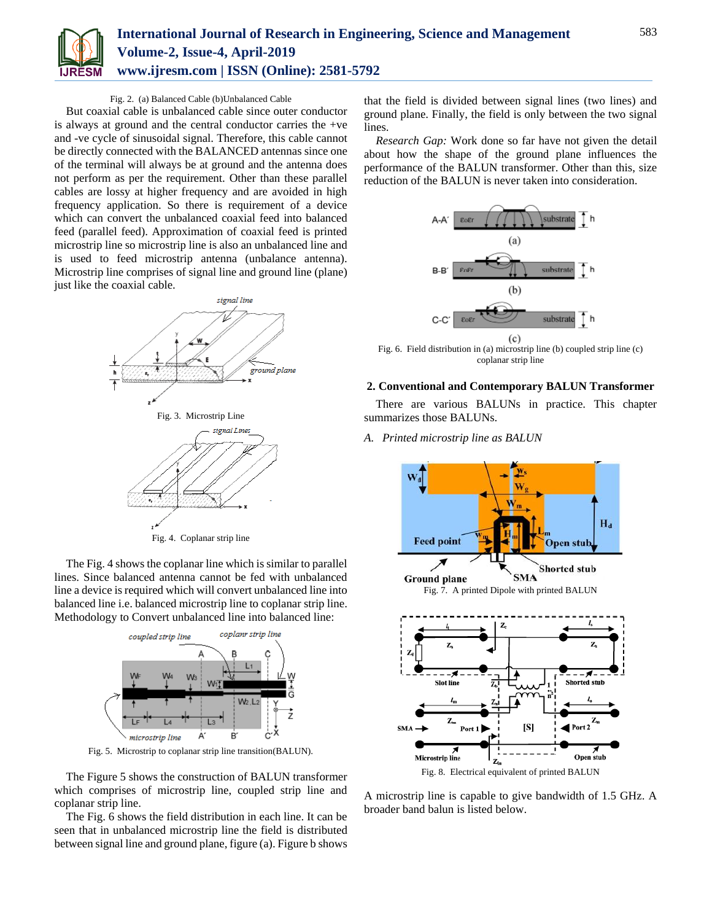

### Fig. 2. (a) Balanced Cable (b)Unbalanced Cable

But coaxial cable is unbalanced cable since outer conductor is always at ground and the central conductor carries the +ve and -ve cycle of sinusoidal signal. Therefore, this cable cannot be directly connected with the BALANCED antennas since one of the terminal will always be at ground and the antenna does not perform as per the requirement. Other than these parallel cables are lossy at higher frequency and are avoided in high frequency application. So there is requirement of a device which can convert the unbalanced coaxial feed into balanced feed (parallel feed). Approximation of coaxial feed is printed microstrip line so microstrip line is also an unbalanced line and is used to feed microstrip antenna (unbalance antenna). Microstrip line comprises of signal line and ground line (plane) just like the coaxial cable.



The Fig. 4 shows the coplanar line which is similar to parallel lines. Since balanced antenna cannot be fed with unbalanced line a device is required which will convert unbalanced line into balanced line i.e. balanced microstrip line to coplanar strip line. Methodology to Convert unbalanced line into balanced line:



Fig. 5. Microstrip to coplanar strip line transition(BALUN).

The Figure 5 shows the construction of BALUN transformer which comprises of microstrip line, coupled strip line and coplanar strip line.

The Fig. 6 shows the field distribution in each line. It can be seen that in unbalanced microstrip line the field is distributed between signal line and ground plane, figure (a). Figure b shows

that the field is divided between signal lines (two lines) and ground plane. Finally, the field is only between the two signal lines.

*Research Gap:* Work done so far have not given the detail about how the shape of the ground plane influences the performance of the BALUN transformer. Other than this, size reduction of the BALUN is never taken into consideration.



Fig. 6. Field distribution in (a) microstrip line (b) coupled strip line (c) coplanar strip line

### **2. Conventional and Contemporary BALUN Transformer**

There are various BALUNs in practice. This chapter summarizes those BALUNs.

*A. Printed microstrip line as BALUN*



A microstrip line is capable to give bandwidth of 1.5 GHz. A broader band balun is listed below.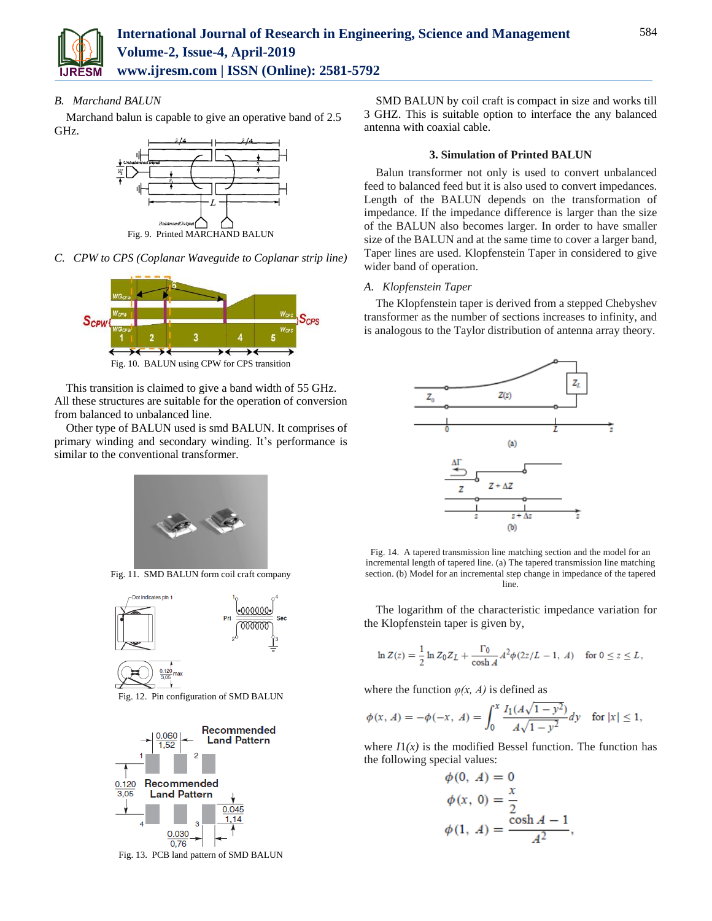

*B. Marchand BALUN*

Marchand balun is capable to give an operative band of 2.5 GHz.



*C. CPW to CPS (Coplanar Waveguide to Coplanar strip line)*



Fig. 10. BALUN using CPW for CPS transition

This transition is claimed to give a band width of 55 GHz. All these structures are suitable for the operation of conversion from balanced to unbalanced line.

Other type of BALUN used is smd BALUN. It comprises of primary winding and secondary winding. It's performance is similar to the conventional transformer.



Fig. 11. SMD BALUN form coil craft company



Fig. 12. Pin configuration of SMD BALUN



Fig. 13. PCB land pattern of SMD BALUN

SMD BALUN by coil craft is compact in size and works till 3 GHZ. This is suitable option to interface the any balanced antenna with coaxial cable.

### **3. Simulation of Printed BALUN**

Balun transformer not only is used to convert unbalanced feed to balanced feed but it is also used to convert impedances. Length of the BALUN depends on the transformation of impedance. If the impedance difference is larger than the size of the BALUN also becomes larger. In order to have smaller size of the BALUN and at the same time to cover a larger band, Taper lines are used. Klopfenstein Taper in considered to give wider band of operation.

### *A. Klopfenstein Taper*

The Klopfenstein taper is derived from a stepped Chebyshev transformer as the number of sections increases to infinity, and is analogous to the Taylor distribution of antenna array theory.



Fig. 14. A tapered transmission line matching section and the model for an incremental length of tapered line. (a) The tapered transmission line matching section. (b) Model for an incremental step change in impedance of the tapered line.

The logarithm of the characteristic impedance variation for the Klopfenstein taper is given by,

$$
\ln Z(z) = \frac{1}{2} \ln Z_0 Z_L + \frac{\Gamma_0}{\cosh A} A^2 \phi (2z/L - 1, A) \quad \text{for } 0 \le z \le L,
$$

where the function  $\varphi(x, A)$  is defined as

$$
\phi(x, A) = -\phi(-x, A) = \int_0^x \frac{I_1(A\sqrt{1 - y^2})}{A\sqrt{1 - y^2}} dy \quad \text{for } |x| \le 1,
$$

where  $I(x)$  is the modified Bessel function. The function has the following special values:

$$
\begin{aligned}\n\phi(0, A) &= 0\\ \n\phi(x, 0) &= \frac{x}{2} \\ \n\phi(1, A) &= \frac{\cosh A - 1}{A^2},\n\end{aligned}
$$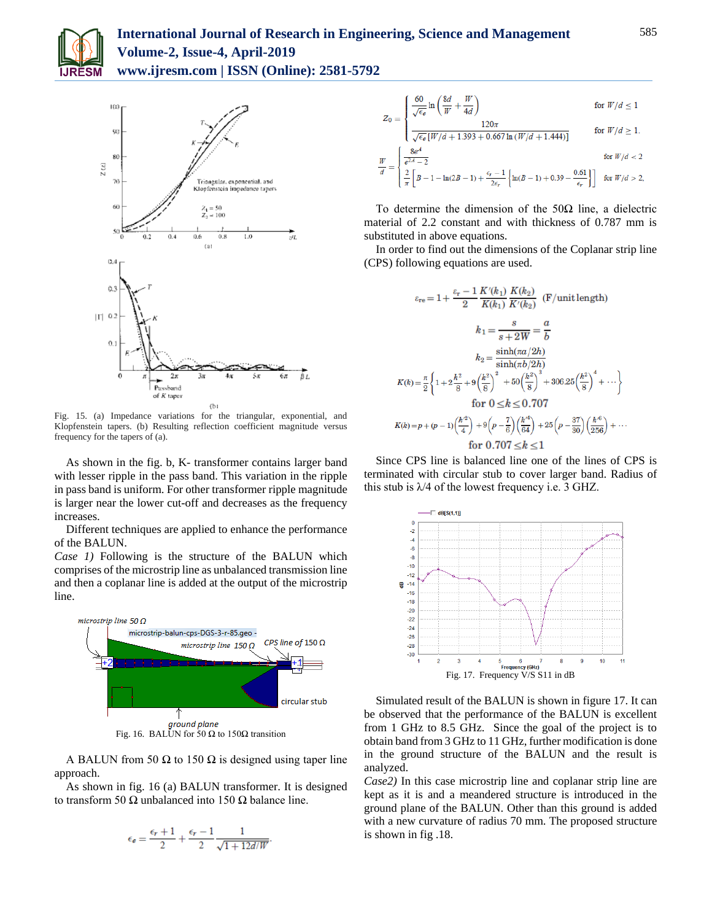

## **International Journal of Research in Engineering, Science and Management Volume-2, Issue-4, April-2019 www.ijresm.com | ISSN (Online): 2581-5792**



Fig. 15. (a) Impedance variations for the triangular, exponential, and Klopfenstein tapers. (b) Resulting reflection coefficient magnitude versus frequency for the tapers of (a).

As shown in the fig. b, K- transformer contains larger band with lesser ripple in the pass band. This variation in the ripple in pass band is uniform. For other transformer ripple magnitude is larger near the lower cut-off and decreases as the frequency increases.

Different techniques are applied to enhance the performance of the BALUN.

*Case 1)* Following is the structure of the BALUN which comprises of the microstrip line as unbalanced transmission line and then a coplanar line is added at the output of the microstrip line.



Fig. 16. BALUN for 50 Ω to 150Ω transition

A BALUN from 50  $\Omega$  to 150  $\Omega$  is designed using taper line approach.

As shown in fig. 16 (a) BALUN transformer. It is designed to transform 50 Ω unbalanced into 150 Ω balance line.

$$
\epsilon_{e} = \frac{\epsilon_{r} + 1}{2} + \frac{\epsilon_{r} - 1}{2} \frac{1}{\sqrt{1 + 12d/W}}
$$

$$
Z_0 = \begin{cases} \frac{60}{\sqrt{\epsilon_{\theta}}} \ln\left(\frac{8d}{W} + \frac{W}{4d}\right) & \text{for } W/d \le 1\\ \frac{120\pi}{\sqrt{\epsilon_{\theta}}\left[W/d + 1.393 + 0.667 \ln\left(W/d + 1.444\right)\right]} & \text{for } W/d \ge 1. \end{cases}
$$
  

$$
\frac{W}{d} = \begin{cases} \frac{8e^4}{e^{2A} - 2} & \text{for } W/d < 2\\ \frac{2}{\pi} \left[B - 1 - \ln(2B - 1) + \frac{\epsilon_r - 1}{2\epsilon_r} \left\{\ln(B - 1) + 0.39 - \frac{0.61}{\epsilon_r}\right\}\right] & \text{for } W/d > 2, \end{cases}
$$

To determine the dimension of the  $50\Omega$  line, a dielectric material of 2.2 constant and with thickness of 0.787 mm is substituted in above equations.

In order to find out the dimensions of the Coplanar strip line (CPS) following equations are used.

$$
\varepsilon_{\rm re} = 1 + \frac{\varepsilon_{\rm r} - 1}{2} \frac{K'(k_1)}{K(k_1)} \frac{K(k_2)}{K'(k_2)} \quad (\text{F/unit length})
$$
\n
$$
k_1 = \frac{s}{s + 2W} = \frac{a}{b}
$$
\n
$$
k_2 = \frac{\sinh(\pi a/2h)}{\sinh(\pi b/2h)}
$$
\n
$$
K(k) = \frac{\pi}{2} \left\{ 1 + 2\frac{k^2}{8} + 9\left(\frac{k^2}{8}\right)^2 + 50\left(\frac{k^2}{8}\right)^3 + 306.25\left(\frac{k^2}{8}\right)^4 + \cdots \right\}
$$
\nfor  $0 \le k \le 0.707$   
\n
$$
K(k) = p + (p - 1)\left(\frac{k^2}{4}\right) + 9\left(p - \frac{7}{6}\right)\left(\frac{k^4}{64}\right) + 25\left(p - \frac{37}{30}\right)\left(\frac{k^6}{256}\right) + \cdots
$$
\nfor  $0.707 < k < 1$ 

Since CPS line is balanced line one of the lines of CPS is terminated with circular stub to cover larger band. Radius of this stub is  $\lambda$ 4 of the lowest frequency i.e. 3 GHZ.



Simulated result of the BALUN is shown in figure 17. It can be observed that the performance of the BALUN is excellent from 1 GHz to 8.5 GHz. Since the goal of the project is to obtain band from 3 GHz to 11 GHz, further modification is done in the ground structure of the BALUN and the result is analyzed.

*Case2)* In this case microstrip line and coplanar strip line are kept as it is and a meandered structure is introduced in the ground plane of the BALUN. Other than this ground is added with a new curvature of radius 70 mm. The proposed structure is shown in fig .18.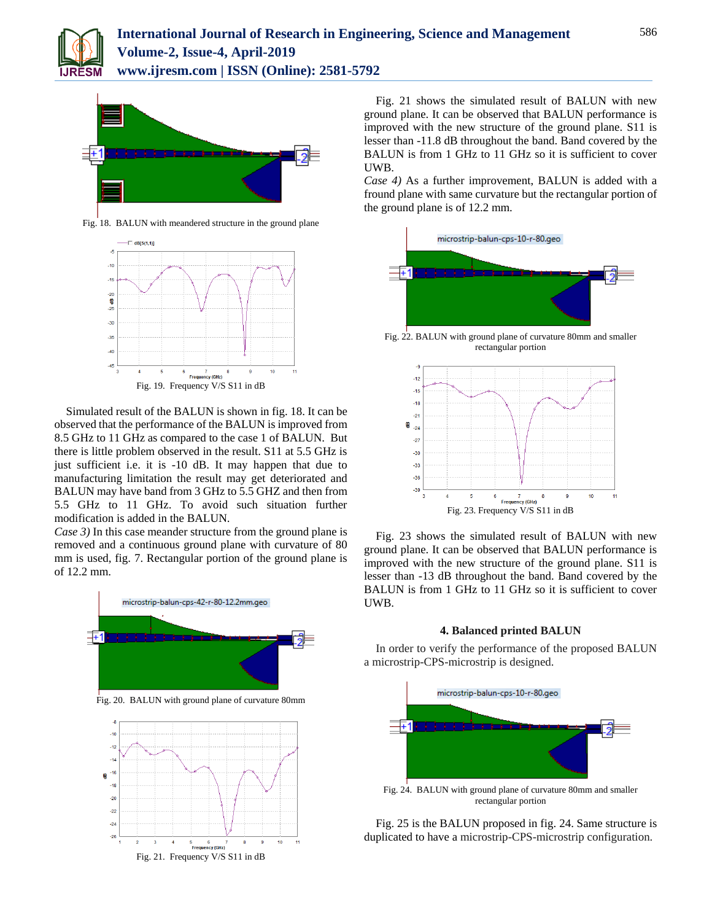



Fig. 18. BALUN with meandered structure in the ground plane



Simulated result of the BALUN is shown in fig. 18. It can be observed that the performance of the BALUN is improved from 8.5 GHz to 11 GHz as compared to the case 1 of BALUN. But there is little problem observed in the result. S11 at 5.5 GHz is just sufficient i.e. it is -10 dB. It may happen that due to manufacturing limitation the result may get deteriorated and BALUN may have band from 3 GHz to 5.5 GHZ and then from 5.5 GHz to 11 GHz. To avoid such situation further modification is added in the BALUN.

*Case 3)* In this case meander structure from the ground plane is removed and a continuous ground plane with curvature of 80 mm is used, fig. 7. Rectangular portion of the ground plane is of 12.2 mm.



Fig. 21 shows the simulated result of BALUN with new ground plane. It can be observed that BALUN performance is improved with the new structure of the ground plane. S11 is lesser than -11.8 dB throughout the band. Band covered by the BALUN is from 1 GHz to 11 GHz so it is sufficient to cover UWB.

*Case 4)* As a further improvement, BALUN is added with a fround plane with same curvature but the rectangular portion of the ground plane is of 12.2 mm.



Fig. 22. BALUN with ground plane of curvature 80mm and smaller rectangular portion



Fig. 23 shows the simulated result of BALUN with new ground plane. It can be observed that BALUN performance is improved with the new structure of the ground plane. S11 is lesser than -13 dB throughout the band. Band covered by the BALUN is from 1 GHz to 11 GHz so it is sufficient to cover UWB.

### **4. Balanced printed BALUN**

In order to verify the performance of the proposed BALUN a microstrip-CPS-microstrip is designed.



Fig. 25 is the BALUN proposed in fig. 24. Same structure is duplicated to have a microstrip-CPS-microstrip configuration.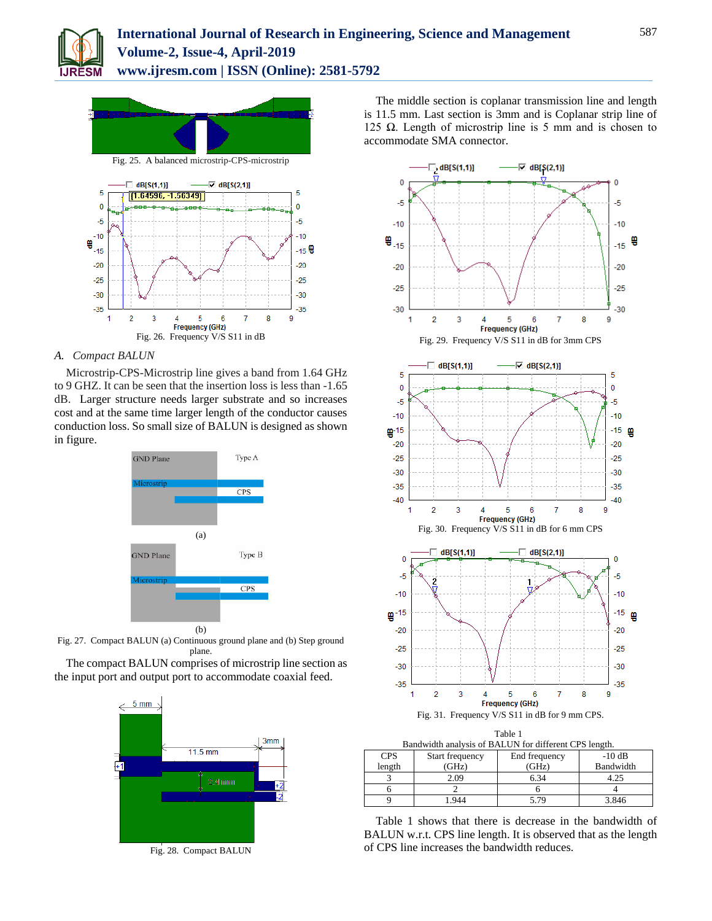



### *A. Compact BALUN*

Microstrip-CPS-Microstrip line gives a band from 1.64 GHz to 9 GHZ. It can be seen that the insertion loss is less than -1.65 dB. Larger structure needs larger substrate and so increases cost and at the same time larger length of the conductor causes conduction loss. So small size of BALUN is designed as shown in figure.



Fig. 27. Compact BALUN (a) Continuous ground plane and (b) Step ground plane.

The compact BALUN comprises of microstrip line section as the input port and output port to accommodate coaxial feed.



Fig. 28. Compact BALUN

The middle section is coplanar transmission line and length is 11.5 mm. Last section is 3mm and is Coplanar strip line of 125 Ω. Length of microstrip line is 5 mm and is chosen to accommodate SMA connector.



| Bandwiddl analysis of BALON for different CFS feligul. |                 |               |           |
|--------------------------------------------------------|-----------------|---------------|-----------|
| <b>CPS</b>                                             | Start frequency | End frequency | $-10$ dB  |
| length                                                 | (GHz)           | (GHz)         | Bandwidth |
|                                                        | 2.09            | 6.34          | 4.25      |
|                                                        |                 |               |           |
|                                                        | 944             | 5.79          | 3.846     |

Table 1 shows that there is decrease in the bandwidth of BALUN w.r.t. CPS line length. It is observed that as the length of CPS line increases the bandwidth reduces.